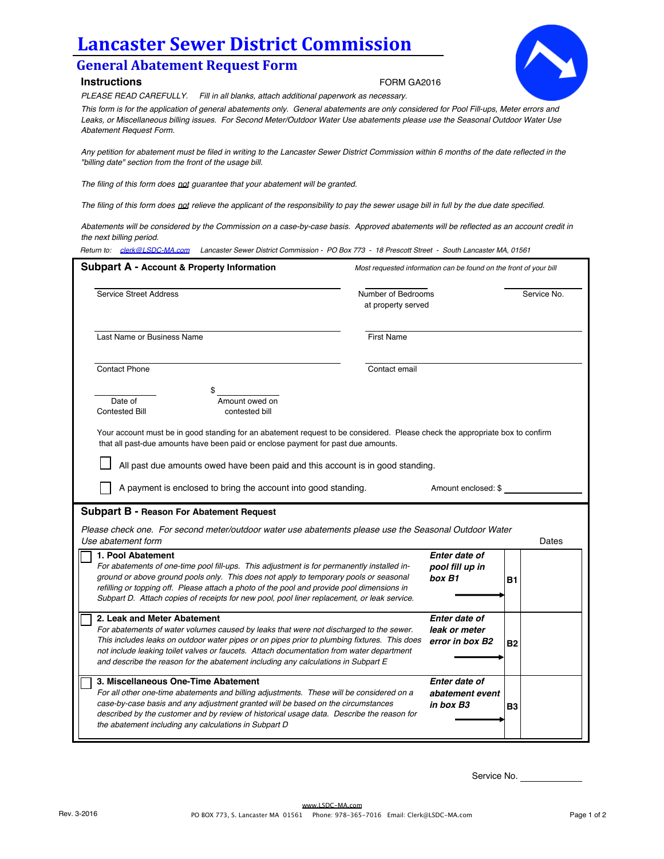## **Lancaster Sewer District Commission**

## **General Abatement Request Form**

## **Instructions**

FORM GA2016



*PLEASE READ CAREFULLY. Fill in all blanks, attach additional paperwork as necessary.*

*This form is for the application of general abatements only. General abatements are only considered for Pool Fill-ups, Meter errors and Leaks, or Miscellaneous billing issues. For Second Meter/Outdoor Water Use abatements please use the Seasonal Outdoor Water Use Abatement Request Form.* 

*Any petition for abatement must be filed in writing to the Lancaster Sewer District Commission within 6 months of the date reflected in the "billing date" section from the front of the usage bill.* 

*The filing of this form does not guarantee that your abatement will be granted.* 

*The filing of this form does not relieve the applicant of the responsibility to pay the sewer usage bill in full by the due date specified.* 

*Abatements will be considered by the Commission on a case-by-case basis. Approved abatements will be reflected as an account credit in the next billing period.*

*Return to: clerk@LSDC-MA.com Lancaster Sewer District Commission - PO Box 773 - 18 Prescott Street - South Lancaster MA, 01561*

| <b>Service Street Address</b>                                                                                                                                                                                                                                                                                                                                                                          | Number of Bedrooms<br>at property served |                                                   | Service No. |
|--------------------------------------------------------------------------------------------------------------------------------------------------------------------------------------------------------------------------------------------------------------------------------------------------------------------------------------------------------------------------------------------------------|------------------------------------------|---------------------------------------------------|-------------|
| Last Name or Business Name                                                                                                                                                                                                                                                                                                                                                                             | <b>First Name</b>                        |                                                   |             |
| <b>Contact Phone</b>                                                                                                                                                                                                                                                                                                                                                                                   | Contact email                            |                                                   |             |
| Amount owed on<br>Date of<br><b>Contested Bill</b><br>contested bill                                                                                                                                                                                                                                                                                                                                   |                                          |                                                   |             |
| Your account must be in good standing for an abatement request to be considered. Please check the appropriate box to confirm<br>that all past-due amounts have been paid or enclose payment for past due amounts.                                                                                                                                                                                      |                                          |                                                   |             |
| All past due amounts owed have been paid and this account is in good standing.                                                                                                                                                                                                                                                                                                                         |                                          |                                                   |             |
| A payment is enclosed to bring the account into good standing.                                                                                                                                                                                                                                                                                                                                         |                                          | Amount enclosed: \$                               |             |
|                                                                                                                                                                                                                                                                                                                                                                                                        |                                          |                                                   |             |
|                                                                                                                                                                                                                                                                                                                                                                                                        |                                          |                                                   |             |
| Subpart B - Reason For Abatement Request<br>Please check one. For second meter/outdoor water use abatements please use the Seasonal Outdoor Water<br>Use abatement form                                                                                                                                                                                                                                |                                          |                                                   |             |
| 1. Pool Abatement<br>For abatements of one-time pool fill-ups. This adjustment is for permanently installed in-<br>ground or above ground pools only. This does not apply to temporary pools or seasonal<br>refilling or topping off. Please attach a photo of the pool and provide pool dimensions in<br>Subpart D. Attach copies of receipts for new pool, pool liner replacement, or leak service.  |                                          | Enter date of<br>pool fill up in<br>box B1        | Dates<br>B1 |
| 2. Leak and Meter Abatement<br>For abatements of water volumes caused by leaks that were not discharged to the sewer.<br>This includes leaks on outdoor water pipes or on pipes prior to plumbing fixtures. This does<br>not include leaking toilet valves or faucets. Attach documentation from water department<br>and describe the reason for the abatement including any calculations in Subpart E |                                          | Enter date of<br>leak or meter<br>error in box B2 | <b>B2</b>   |